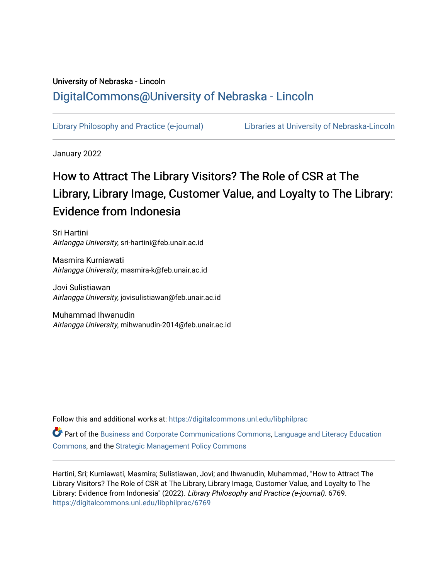# University of Nebraska - Lincoln [DigitalCommons@University of Nebraska - Lincoln](https://digitalcommons.unl.edu/)

[Library Philosophy and Practice \(e-journal\)](https://digitalcommons.unl.edu/libphilprac) [Libraries at University of Nebraska-Lincoln](https://digitalcommons.unl.edu/libraries) 

January 2022

# How to Attract The Library Visitors? The Role of CSR at The Library, Library Image, Customer Value, and Loyalty to The Library: Evidence from Indonesia

Sri Hartini Airlangga University, sri-hartini@feb.unair.ac.id

Masmira Kurniawati Airlangga University, masmira-k@feb.unair.ac.id

Jovi Sulistiawan Airlangga University, jovisulistiawan@feb.unair.ac.id

Muhammad Ihwanudin Airlangga University, mihwanudin-2014@feb.unair.ac.id

Follow this and additional works at: [https://digitalcommons.unl.edu/libphilprac](https://digitalcommons.unl.edu/libphilprac?utm_source=digitalcommons.unl.edu%2Flibphilprac%2F6769&utm_medium=PDF&utm_campaign=PDFCoverPages) 

Part of the [Business and Corporate Communications Commons](http://network.bepress.com/hgg/discipline/627?utm_source=digitalcommons.unl.edu%2Flibphilprac%2F6769&utm_medium=PDF&utm_campaign=PDFCoverPages), Language and Literacy Education [Commons](http://network.bepress.com/hgg/discipline/1380?utm_source=digitalcommons.unl.edu%2Flibphilprac%2F6769&utm_medium=PDF&utm_campaign=PDFCoverPages), and the [Strategic Management Policy Commons](http://network.bepress.com/hgg/discipline/642?utm_source=digitalcommons.unl.edu%2Flibphilprac%2F6769&utm_medium=PDF&utm_campaign=PDFCoverPages) 

Hartini, Sri; Kurniawati, Masmira; Sulistiawan, Jovi; and Ihwanudin, Muhammad, "How to Attract The Library Visitors? The Role of CSR at The Library, Library Image, Customer Value, and Loyalty to The Library: Evidence from Indonesia" (2022). Library Philosophy and Practice (e-journal). 6769. [https://digitalcommons.unl.edu/libphilprac/6769](https://digitalcommons.unl.edu/libphilprac/6769?utm_source=digitalcommons.unl.edu%2Flibphilprac%2F6769&utm_medium=PDF&utm_campaign=PDFCoverPages)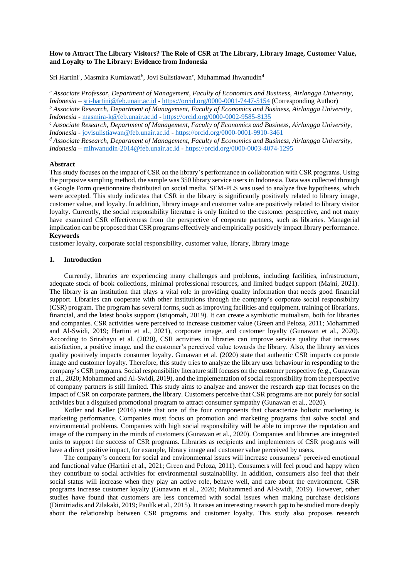# **How to Attract The Library Visitors? The Role of CSR at The Library, Library Image, Customer Value, and Loyalty to The Library: Evidence from Indonesia**

Sri Hartini<sup>a</sup>, Masmira Kurniawati<sup>b</sup>, Jovi Sulistiawan<sup>c</sup>, Muhammad Ihwanudin<sup>d</sup>

*<sup>a</sup> Associate Professor, Department of Management, Faculty of Economics and Business, Airlangga University, Indonesia –* [sri-hartini@feb.unair.ac.id](mailto:sri-hartini@feb.unair.ac.id) - <https://orcid.org/0000-0001-7447-5154> (Corresponding Author) *<sup>b</sup> Associate Research, Department of Management, Faculty of Economics and Business, Airlangga University, Indonesia* - [masmira-k@feb.unair.ac.id](mailto:masmira-k@feb.unair.ac.id) - <https://orcid.org/0000-0002-9585-8135>

<sup>c</sup> *Associate Research, Department of Management, Faculty of Economics and Business, Airlangga University, Indonesia -* [jovisulistiawan@feb.unair.ac.id](mailto:jovisulistiawan@feb.unair.ac.id) - <https://orcid.org/0000-0001-9910-3461>

*<sup>d</sup> Associate Research, Department of Management, Faculty of Economics and Business, Airlangga University, Indonesia –* [mihwanudin-2014@feb.unair.ac.id](mailto:mihwanudin-2014@feb.unair.ac.id) - <https://orcid.org/0000-0003-4074-1295>

# **Abstract**

This study focuses on the impact of CSR on the library's performance in collaboration with CSR programs. Using the purposive sampling method, the sample was 350 library service users in Indonesia. Data was collected through a Google Form questionnaire distributed on social media. SEM-PLS was used to analyze five hypotheses, which were accepted. This study indicates that CSR in the library is significantly positively related to library image, customer value, and loyalty. In addition, library image and customer value are positively related to library visitor loyalty. Currently, the social responsibility literature is only limited to the customer perspective, and not many have examined CSR effectiveness from the perspective of corporate partners, such as libraries. Managerial implication can be proposed that CSR programs effectively and empirically positively impact library performance. **Keywords**

customer loyalty, corporate social responsibility, customer value, library, library image

#### **1. Introduction**

Currently, libraries are experiencing many challenges and problems, including facilities, infrastructure, adequate stock of book collections, minimal professional resources, and limited budget support (Majni, 2021). The library is an institution that plays a vital role in providing quality information that needs good financial support. Libraries can cooperate with other institutions through the company's corporate social responsibility (CSR) program. The program has several forms, such as improving facilities and equipment, training of librarians, financial, and the latest books support (Istiqomah, 2019). It can create a symbiotic mutualism, both for libraries and companies. CSR activities were perceived to increase customer value (Green and Peloza, 2011; Mohammed and Al-Swidi, 2019; Hartini et al., 2021), corporate image, and customer loyalty (Gunawan et al., 2020). According to Srirahayu et al. (2020), CSR activities in libraries can improve service quality that increases satisfaction, a positive image, and the customer's perceived value towards the library. Also, the library services quality positively impacts consumer loyalty. Gunawan et al. (2020) state that authentic CSR impacts corporate image and customer loyalty. Therefore, this study tries to analyze the library user behaviour in responding to the company's CSR programs. Social responsibility literature still focuses on the customer perspective (e.g., Gunawan et al., 2020; Mohammed and Al-Swidi, 2019), and the implementation of social responsibility from the perspective of company partners is still limited. This study aims to analyze and answer the research gap that focuses on the impact of CSR on corporate partners, the library. Customers perceive that CSR programs are not purely for social activities but a disguised promotional program to attract consumer sympathy (Gunawan et al., 2020).

Kotler and Keller (2016) state that one of the four components that characterize holistic marketing is marketing performance. Companies must focus on promotion and marketing programs that solve social and environmental problems. Companies with high social responsibility will be able to improve the reputation and image of the company in the minds of customers (Gunawan et al., 2020). Companies and libraries are integrated units to support the success of CSR programs. Libraries as recipients and implementers of CSR programs will have a direct positive impact, for example, library image and customer value perceived by users.

The company's concern for social and environmental issues will increase consumers' perceived emotional and functional value (Hartini et al., 2021; Green and Peloza, 2011). Consumers will feel proud and happy when they contribute to social activities for environmental sustainability. In addition, consumers also feel that their social status will increase when they play an active role, behave well, and care about the environment. CSR programs increase customer loyalty (Gunawan et al., 2020; Mohammed and Al-Swidi, 2019). However, other studies have found that customers are less concerned with social issues when making purchase decisions (Dimitriadis and Zilakaki, 2019; Paulík et al., 2015). It raises an interesting research gap to be studied more deeply about the relationship between CSR programs and customer loyalty. This study also proposes research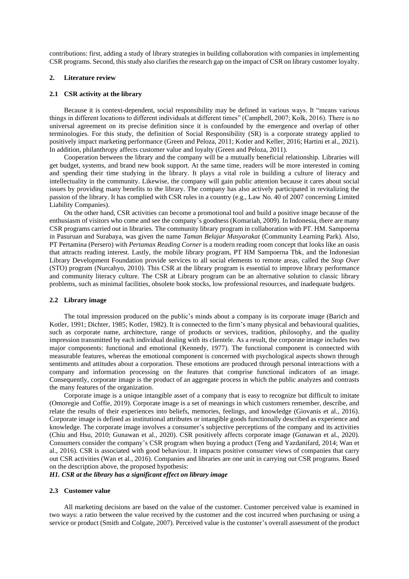contributions: first, adding a study of library strategies in building collaboration with companies in implementing CSR programs. Second, this study also clarifies the research gap on the impact of CSR on library customer loyalty.

# **2. Literature review**

# **2.1 CSR activity at the library**

Because it is context-dependent, social responsibility may be defined in various ways. It "means various things in different locations to different individuals at different times" (Campbell, 2007; Kolk, 2016). There is no universal agreement on its precise definition since it is confounded by the emergence and overlap of other terminologies. For this study, the definition of Social Responsibility (SR) is a corporate strategy applied to positively impact marketing performance (Green and Peloza, 2011; Kotler and Keller, 2016; Hartini et al., 2021). In addition, philanthropy affects customer value and loyalty (Green and Peloza, 2011).

Cooperation between the library and the company will be a mutually beneficial relationship. Libraries will get budget, systems, and brand new book support. At the same time, readers will be more interested in coming and spending their time studying in the library. It plays a vital role in building a culture of literacy and intellectuality in the community. Likewise, the company will gain public attention because it cares about social issues by providing many benefits to the library. The company has also actively participated in revitalizing the passion of the library. It has complied with CSR rules in a country (e.g., Law No. 40 of 2007 concerning Limited Liability Companies).

On the other hand, CSR activities can become a promotional tool and build a positive image because of the enthusiasm of visitors who come and see the company's goodness (Komariah, 2009). In Indonesia, there are many CSR programs carried out in libraries. The community library program in collaboration with PT. HM. Sampoerna in Pasuruan and Surabaya, was given the name *Taman Belajar Masyarakat* (Community Learning Park). Also, PT Pertamina (Persero) with *Pertamax Reading Corner* is a modern reading room concept that looks like an oasis that attracts reading interest. Lastly, the mobile library program, PT HM Sampoerna Tbk, and the Indonesian Library Development Foundation provide services to all social elements to remote areas, called the *Stop Over* (STO) program (Nurcahyo, 2010). This CSR at the library program is essential to improve library performance and community literacy culture. The CSR at Library program can be an alternative solution to classic library problems, such as minimal facilities, obsolete book stocks, low professional resources, and inadequate budgets.

#### **2.2 Library image**

The total impression produced on the public's minds about a company is its corporate image (Barich and Kotler, 1991; Dichter, 1985; Kotler, 1982). It is connected to the firm's many physical and behavioural qualities, such as corporate name, architecture, range of products or services, tradition, philosophy, and the quality impression transmitted by each individual dealing with its clientele. As a result, the corporate image includes two major components: functional and emotional (Kennedy, 1977). The functional component is connected with measurable features, whereas the emotional component is concerned with psychological aspects shown through sentiments and attitudes about a corporation. These emotions are produced through personal interactions with a company and information processing on the features that comprise functional indicators of an image. Consequently, corporate image is the product of an aggregate process in which the public analyzes and contrasts the many features of the organization.

Corporate image is a unique intangible asset of a company that is easy to recognize but difficult to imitate (Omoregie and Coffie, 2019). Corporate image is a set of meanings in which customers remember, describe, and relate the results of their experiences into beliefs, memories, feelings, and knowledge (Giovanis et al., 2016). Corporate image is defined as institutional attributes or intangible goods functionally described as experience and knowledge. The corporate image involves a consumer's subjective perceptions of the company and its activities (Chiu and Hsu, 2010; Gunawan et al., 2020). CSR positively affects corporate image (Gunawan et al., 2020). Consumers consider the company's CSR program when buying a product (Teng and Yazdanifard, 2014; Wan et al., 2016). CSR is associated with good behaviour. It impacts positive consumer views of companies that carry out CSR activities (Wan et al., 2016). Companies and libraries are one unit in carrying out CSR programs. Based on the description above, the proposed hypothesis:

*H1. CSR at the library has a significant effect on library image*

# **2.3 Customer value**

All marketing decisions are based on the value of the customer. Customer perceived value is examined in two ways: a ratio between the value received by the customer and the cost incurred when purchasing or using a service or product (Smith and Colgate, 2007). Perceived value is the customer's overall assessment of the product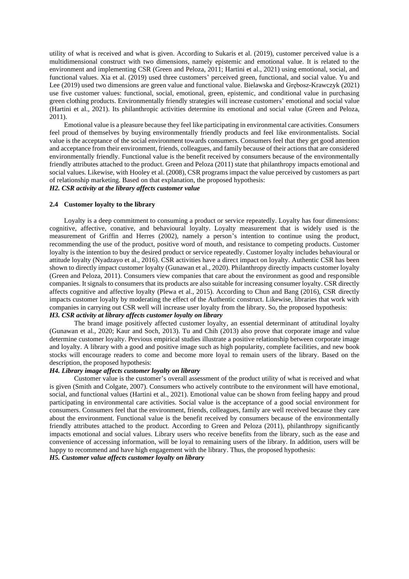utility of what is received and what is given. According to Sukaris et al. (2019), customer perceived value is a multidimensional construct with two dimensions, namely epistemic and emotional value. It is related to the environment and implementing CSR (Green and Peloza, 2011; Hartini et al., 2021) using emotional, social, and functional values. Xia et al. (2019) used three customers' perceived green, functional, and social value. Yu and Lee (2019) used two dimensions are green value and functional value. Bielawska and Grębosz-Krawczyk (2021) use five customer values: functional, social, emotional, green, epistemic, and conditional value in purchasing green clothing products. Environmentally friendly strategies will increase customers' emotional and social value (Hartini et al., 2021). Its philanthropic activities determine its emotional and social value (Green and Peloza, 2011).

Emotional value is a pleasure because they feel like participating in environmental care activities. Consumers feel proud of themselves by buying environmentally friendly products and feel like environmentalists. Social value is the acceptance of the social environment towards consumers. Consumers feel that they get good attention and acceptance from their environment, friends, colleagues, and family because of their actions that are considered environmentally friendly. Functional value is the benefit received by consumers because of the environmentally friendly attributes attached to the product. Green and Peloza (2011) state that philanthropy impacts emotional and social values. Likewise, with Hooley et al. (2008), CSR programs impact the value perceived by customers as part of relationship marketing. Based on that explanation, the proposed hypothesis:

# *H2. CSR activity at the library affects customer value*

#### **2.4 Customer loyalty to the library**

Loyalty is a deep commitment to consuming a product or service repeatedly. Loyalty has four dimensions: cognitive, affective, conative, and behavioural loyalty. Loyalty measurement that is widely used is the measurement of Griffin and Herres (2002), namely a person's intention to continue using the product, recommending the use of the product, positive word of mouth, and resistance to competing products. Customer loyalty is the intention to buy the desired product or service repeatedly. Customer loyalty includes behavioural or attitude loyalty (Nyadzayo et al., 2016). CSR activities have a direct impact on loyalty. Authentic CSR has been shown to directly impact customer loyalty (Gunawan et al., 2020). Philanthropy directly impacts customer loyalty (Green and Peloza, 2011). Consumers view companies that care about the environment as good and responsible companies. Itsignals to consumers that its products are also suitable for increasing consumer loyalty. CSR directly affects cognitive and affective loyalty (Plewa et al., 2015). According to Chun and Bang (2016), CSR directly impacts customer loyalty by moderating the effect of the Authentic construct. Likewise, libraries that work with companies in carrying out CSR well will increase user loyalty from the library. So, the proposed hypothesis: *H3. CSR activity at library affects customer loyalty on library*

The brand image positively affected customer loyalty, an essential determinant of attitudinal loyalty (Gunawan et al., 2020; Kaur and Soch, 2013). Tu and Chih (2013) also prove that corporate image and value determine customer loyalty. Previous empirical studies illustrate a positive relationship between corporate image and loyalty. A library with a good and positive image such as high popularity, complete facilities, and new book stocks will encourage readers to come and become more loyal to remain users of the library. Based on the description, the proposed hypothesis:

# *H4. Library image affects customer loyalty on library*

Customer value is the customer's overall assessment of the product utility of what is received and what is given (Smith and Colgate, 2007). Consumers who actively contribute to the environment will have emotional, social, and functional values (Hartini et al., 2021). Emotional value can be shown from feeling happy and proud participating in environmental care activities. Social value is the acceptance of a good social environment for consumers. Consumers feel that the environment, friends, colleagues, family are well received because they care about the environment. Functional value is the benefit received by consumers because of the environmentally friendly attributes attached to the product. According to Green and Peloza (2011), philanthropy significantly impacts emotional and social values. Library users who receive benefits from the library, such as the ease and convenience of accessing information, will be loyal to remaining users of the library. In addition, users will be happy to recommend and have high engagement with the library. Thus, the proposed hypothesis:

*H5. Customer value affects customer loyalty on library*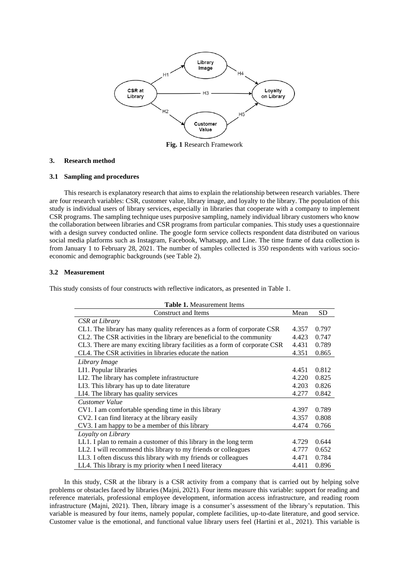

**Fig. 1** Research Framework

# **3. Research method**

# **3.1 Sampling and procedures**

This research is explanatory research that aims to explain the relationship between research variables. There are four research variables: CSR, customer value, library image, and loyalty to the library. The population of this study is individual users of library services, especially in libraries that cooperate with a company to implement CSR programs. The sampling technique uses purposive sampling, namely individual library customers who know the collaboration between libraries and CSR programs from particular companies. This study uses a questionnaire with a design survey conducted online. The google form service collects respondent data distributed on various social media platforms such as Instagram, Facebook, Whatsapp, and Line. The time frame of data collection is from January 1 to February 28, 2021. The number of samples collected is 350 respondents with various socioeconomic and demographic backgrounds (see Table 2).

# **3.2 Measurement**

This study consists of four constructs with reflective indicators, as presented in Table 1.

| <b>Table 1.</b> Measurement Items                                          |       |           |  |  |  |  |
|----------------------------------------------------------------------------|-------|-----------|--|--|--|--|
| <b>Construct and Items</b>                                                 | Mean  | <b>SD</b> |  |  |  |  |
| CSR at Library                                                             |       |           |  |  |  |  |
| CL1. The library has many quality references as a form of corporate CSR    | 4.357 | 0.797     |  |  |  |  |
| CL2. The CSR activities in the library are beneficial to the community     | 4.423 | 0.747     |  |  |  |  |
| CL3. There are many exciting library facilities as a form of corporate CSR | 4.431 | 0.789     |  |  |  |  |
| CL4. The CSR activities in libraries educate the nation                    | 4.351 | 0.865     |  |  |  |  |
| Library Image                                                              |       |           |  |  |  |  |
| LI1. Popular libraries                                                     | 4.451 | 0.812     |  |  |  |  |
| LI2. The library has complete infrastructure                               | 4.220 | 0.825     |  |  |  |  |
| LI3. This library has up to date literature                                | 4.203 | 0.826     |  |  |  |  |
| LI4. The library has quality services                                      | 4.277 | 0.842     |  |  |  |  |
| <b>Customer Value</b>                                                      |       |           |  |  |  |  |
| CV1. I am comfortable spending time in this library                        | 4.397 | 0.789     |  |  |  |  |
| CV2. I can find literacy at the library easily                             | 4.357 | 0.808     |  |  |  |  |
| CV3. I am happy to be a member of this library                             | 4.474 | 0.766     |  |  |  |  |
| Loyalty on Library                                                         |       |           |  |  |  |  |
| LL1. I plan to remain a customer of this library in the long term          | 4.729 | 0.644     |  |  |  |  |
| LL2. I will recommend this library to my friends or colleagues             | 4.777 | 0.652     |  |  |  |  |
| LL3. I often discuss this library with my friends or colleagues            | 4.471 | 0.784     |  |  |  |  |
| LL4. This library is my priority when I need literacy                      | 4.411 | 0.896     |  |  |  |  |

In this study, CSR at the library is a CSR activity from a company that is carried out by helping solve problems or obstacles faced by libraries (Majni, 2021). Four items measure this variable: support for reading and reference materials, professional employee development, information access infrastructure, and reading room infrastructure (Majni, 2021). Then, library image is a consumer's assessment of the library's reputation. This variable is measured by four items, namely popular, complete facilities, up-to-date literature, and good service. Customer value is the emotional, and functional value library users feel (Hartini et al., 2021). This variable is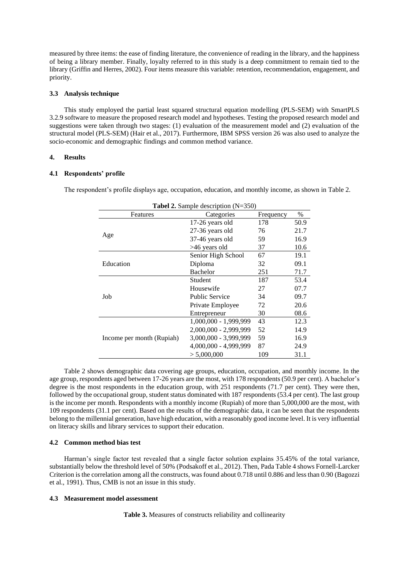measured by three items: the ease of finding literature, the convenience of reading in the library, and the happiness of being a library member. Finally, loyalty referred to in this study is a deep commitment to remain tied to the library (Griffin and Herres, 2002). Four items measure this variable: retention, recommendation, engagement, and priority.

# **3.3 Analysis technique**

This study employed the partial least squared structural equation modelling (PLS-SEM) with SmartPLS 3.2.9 software to measure the proposed research model and hypotheses. Testing the proposed research model and suggestions were taken through two stages: (1) evaluation of the measurement model and (2) evaluation of the structural model (PLS-SEM) (Hair et al., 2017). Furthermore, IBM SPSS version 26 was also used to analyze the socio-economic and demographic findings and common method variance.

# **4. Results**

# **4.1 Respondents' profile**

The respondent's profile displays age, occupation, education, and monthly income, as shown in Table 2.

| <b>Tabel 2.</b> Sample description $(N=350)$ |                       |           |      |  |  |  |  |
|----------------------------------------------|-----------------------|-----------|------|--|--|--|--|
| Features                                     | Categories            | Frequency | $\%$ |  |  |  |  |
|                                              | 17-26 years old       | 178       | 50.9 |  |  |  |  |
|                                              | 27-36 years old       | 76        | 21.7 |  |  |  |  |
| Age                                          | 37-46 years old       | 59        | 16.9 |  |  |  |  |
|                                              | >46 years old         | 37        | 10.6 |  |  |  |  |
|                                              | Senior High School    | 67        | 19.1 |  |  |  |  |
| Education                                    | Diploma               | 32        | 09.1 |  |  |  |  |
|                                              | Bachelor              | 251       | 71.7 |  |  |  |  |
|                                              | Student               | 187       | 53.4 |  |  |  |  |
|                                              | Housewife             | 27        | 07.7 |  |  |  |  |
| Job                                          | <b>Public Service</b> | 34        | 09.7 |  |  |  |  |
|                                              | Private Employee      | 72        | 20.6 |  |  |  |  |
|                                              | Entrepreneur          | 30        | 08.6 |  |  |  |  |
|                                              | 1,000,000 - 1,999,999 | 43        | 12.3 |  |  |  |  |
|                                              | 2,000,000 - 2,999,999 | 52        | 14.9 |  |  |  |  |
| Income per month (Rupiah)                    | 3,000,000 - 3,999,999 | 59        | 16.9 |  |  |  |  |
|                                              | 4,000,000 - 4,999,999 | 87        | 24.9 |  |  |  |  |
|                                              | > 5,000,000           | 109       | 31.1 |  |  |  |  |

Table 2 shows demographic data covering age groups, education, occupation, and monthly income. In the age group, respondents aged between 17-26 years are the most, with 178 respondents (50.9 per cent). A bachelor's degree is the most respondents in the education group, with 251 respondents (71.7 per cent). They were then, followed by the occupational group, student status dominated with 187 respondents (53.4 per cent). The last group is the income per month. Respondents with a monthly income (Rupiah) of more than 5,000,000 are the most, with 109 respondents (31.1 per cent). Based on the results of the demographic data, it can be seen that the respondents belong to the millennial generation, have high education, with a reasonably good income level. It is very influential on literacy skills and library services to support their education.

#### **4.2 Common method bias test**

Harman's single factor test revealed that a single factor solution explains 35.45% of the total variance, substantially below the threshold level of 50% (Podsakoff et al., 2012). Then, Pada Table 4 shows Fornell-Larcker Criterion is the correlation among all the constructs, was found about 0.718 until 0.886 and less than 0.90 (Bagozzi et al., 1991). Thus, CMB is not an issue in this study.

# **4.3 Measurement model assessment**

**Table 3.** Measures of constructs reliability and collinearity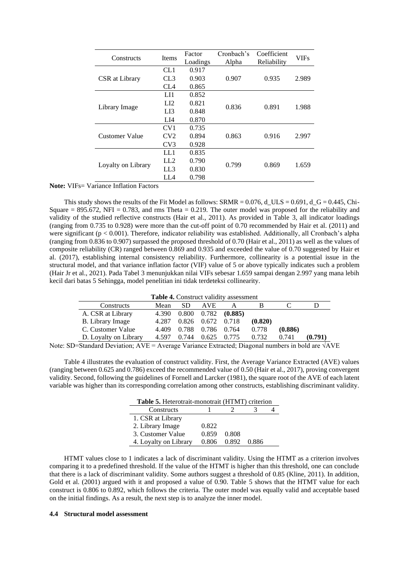| Constructs         | <b>Items</b>    | Factor   | Cronbach's | Coefficient | <b>VIFs</b> |
|--------------------|-----------------|----------|------------|-------------|-------------|
|                    |                 | Loadings | Alpha      | Reliability |             |
|                    | CL1             | 0.917    |            |             |             |
| CSR at Library     | CL3             | 0.903    | 0.907      | 0.935       | 2.989       |
|                    | CL4             | 0.865    |            |             |             |
|                    | LH <sub>1</sub> | 0.852    |            |             |             |
| Library Image      | LI2             | 0.821    |            | 0.891       | 1.988       |
|                    | LI3             | 0.848    | 0.836      |             |             |
|                    | LI4             | 0.870    |            |             |             |
|                    | CV <sub>1</sub> | 0.735    |            | 0.916       |             |
| Customer Value     | CV2             | 0.894    | 0.863      |             | 2.997       |
|                    | CV <sub>3</sub> | 0.928    |            |             |             |
| Loyalty on Library | LL1             | 0.835    |            | 0.869       |             |
|                    | LL 2            | 0.790    |            |             |             |
|                    | LL3             | 0.830    | 0.799      |             | 1.659       |
|                    | LL 4            | 0.798    |            |             |             |

**Note:** VIFs= Variance Inflation Factors

This study shows the results of the Fit Model as follows: SRMR = 0.076, d\_ULS = 0.691, d\_G = 0.445, Chi-Square = 895.672, NFI = 0.783, and rms Theta = 0.219. The outer model was proposed for the reliability and validity of the studied reflective constructs (Hair et al., 2011). As provided in Table 3, all indicator loadings (ranging from 0.735 to 0.928) were more than the cut-off point of 0.70 recommended by Hair et al. (2011) and were significant ( $p < 0.001$ ). Therefore, indicator reliability was established. Additionally, all Cronbach's alpha (ranging from 0.836 to 0.907) surpassed the proposed threshold of 0.70 (Hair et al., 2011) as well as the values of composite reliability (CR) ranged between 0.869 and 0.935 and exceeded the value of 0.70 suggested by Hair et al. (2017), establishing internal consistency reliability. Furthermore, collinearity is a potential issue in the structural model, and that variance inflation factor (VIF) value of 5 or above typically indicates such a problem (Hair Jr et al., 2021). Pada Tabel 3 menunjukkan nilai VIFs sebesar 1.659 sampai dengan 2.997 yang mana lebih kecil dari batas 5 Sehingga, model penelitian ini tidak terdeteksi collinearity.

| <b>Table 4.</b> Construct validity assessment |       |       |             |                           |         |         |         |  |
|-----------------------------------------------|-------|-------|-------------|---------------------------|---------|---------|---------|--|
| Constructs                                    | Mean  | SD.   | AVE.        |                           |         |         |         |  |
| A. CSR at Library                             | 4.390 |       |             | $0.800$ $0.782$ $(0.885)$ |         |         |         |  |
| B. Library Image                              | 4.287 | 0.826 | 0.672 0.718 |                           | (0.820) |         |         |  |
| C. Customer Value                             | 4.409 | 0.788 | 0.786 0.764 |                           | 0.778   | (0.886) |         |  |
| D. Loyalty on Library                         | 4.597 | 0.744 |             | $0.625$ 0.775             | 0.732   | 0.741   | (0.791) |  |

Note: SD=Standard Deviation;  $AVE = Average Variance Extracted$ ; Diagonal numbers in bold are  $\sqrt{AVE}$ 

Table 4 illustrates the evaluation of construct validity. First, the Average Variance Extracted (AVE) values (ranging between 0.625 and 0.786) exceed the recommended value of 0.50 (Hair et al., 2017), proving convergent validity. Second, following the guidelines of Fornell and Larcker (1981), the square root of the AVE of each latent variable was higher than its corresponding correlation among other constructs, establishing discriminant validity.

| Table 5. Heterotrait-monotrait (HTMT) criterion |       |       |       |  |  |  |  |
|-------------------------------------------------|-------|-------|-------|--|--|--|--|
| Constructs                                      |       |       |       |  |  |  |  |
| 1. CSR at Library                               |       |       |       |  |  |  |  |
| 2. Library Image                                | 0.822 |       |       |  |  |  |  |
| 3. Customer Value                               | 0.859 | 0.808 |       |  |  |  |  |
| 4. Loyalty on Library                           | 0.806 | 0.892 | 0.886 |  |  |  |  |

HTMT values close to 1 indicates a lack of discriminant validity. Using the HTMT as a criterion involves comparing it to a predefined threshold. If the value of the HTMT is higher than this threshold, one can conclude that there is a lack of discriminant validity. Some authors suggest a threshold of 0.85 (Kline, 2011). In addition, Gold et al. (2001) argued with it and proposed a value of 0.90. Table 5 shows that the HTMT value for each construct is 0.806 to 0.892, which follows the criteria. The outer model was equally valid and acceptable based on the initial findings. As a result, the next step is to analyze the inner model.

# **4.4 Structural model assessment**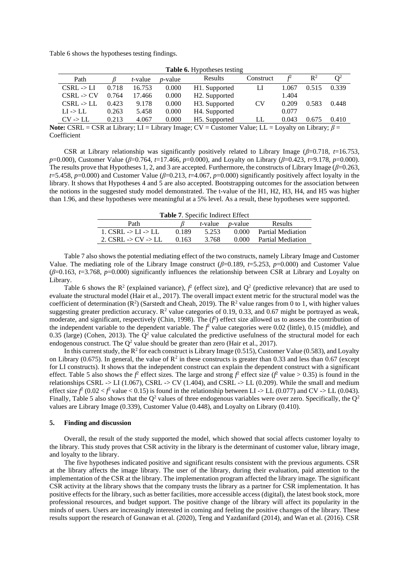Table 6 shows the hypotheses testing findings.

| <b>Table 6.</b> Hypotheses testing |                                                  |             |            |                                |                           |       |                |       |
|------------------------------------|--------------------------------------------------|-------------|------------|--------------------------------|---------------------------|-------|----------------|-------|
| Path                               |                                                  | t-value     | $p$ -value | <b>Results</b>                 | Construct                 |       | $\mathbb{R}^2$ |       |
| CSRL > LI                          | 0.718                                            | 16.753      | 0.000      | H1. Supported                  | LI                        | 1.067 | 0.515          | 0.339 |
| $CSRL$ -> $CV$                     | 0.764                                            | 17.466      | 0.000      | H <sub>2</sub> . Supported     |                           | 1.404 |                |       |
| CSRL > LL                          | 0.423                                            | 9.178       | 0.000      | H <sub>3</sub> . Supported     | <b>CV</b>                 | 0.209 | 0.583          | 0.448 |
| $LI \rightarrow LL$                | 0.263                                            | 5.458       | 0.000      | H <sub>4</sub> . Supported     |                           | 0.077 |                |       |
| CV > LL                            | 0.213                                            | 4.067       | 0.000      | H <sub>5</sub> . Supported     | LL                        | 0.043 | 0.675          | 0.410 |
| $\sim$ $\sim$ $\sim$               | $\sim$ $\sim$ $\sim$ $\sim$ $\sim$ $\sim$ $\sim$ | <b>TT T</b> |            | $\sim$ $\sim$<br>$\sim$ $\sim$ | $\mathbf{v}$ $\mathbf{v}$ |       |                |       |

**Table 6.** Hypotheses testing

**Note:** CSRL = CSR at Library; LI = Library Image; CV = Customer Value; LL = Loyalty on Library; *β* = Coefficient

CSR at Library relationship was significantly positively related to Library Image ( $\beta$ =0.718,  $t$ =16.753, *p*=0.000), Customer Value (*β*=0.764, *t*=17.466, *p*=0.000), and Loyalty on Library (*β*=0.423, *t*=9.178, *p*=0.000). The results prove that Hypotheses 1, 2, and 3 are accepted. Furthermore, the constructs of Library Image (*β*=0.263, *t*=5.458, *p*=0.000) and Customer Value (*β*=0.213, *t*=4.067, *p*=0.000) significantly positively affect loyalty in the library. It shows that Hypotheses 4 and 5 are also accepted. Bootstrapping outcomes for the association between the notions in the suggested study model demonstrated. The t-value of the H1, H2, H3, H4, and H5 was higher than 1.96, and these hypotheses were meaningful at a 5% level. As a result, these hypotheses were supported.

| <b>Table 7.</b> Specific Indirect Effect |       |                                 |       |                          |  |  |  |  |
|------------------------------------------|-------|---------------------------------|-------|--------------------------|--|--|--|--|
| Path                                     |       | <i>t</i> -value <i>p</i> -value |       | Results                  |  |  |  |  |
| 1. CSRL -> LI -> LL                      | 0.189 | 5.253                           | 0.000 | <b>Partial Mediation</b> |  |  |  |  |
| 2. CSRL -> CV -> LL                      | 0.163 | 3.768                           |       | 0.000 Partial Mediation  |  |  |  |  |

Table 7 also shows the potential mediating effect of the two constructs, namely Library Image and Customer Value. The mediating role of the Library Image construct  $(\beta=0.189, t=5.253, p=0.000)$  and Customer Value (*β*=0.163, *t*=3.768, *p*=0.000) significantly influences the relationship between CSR at Library and Loyalty on Library.

Table 6 shows the  $\mathbb{R}^2$  (explained variance),  $f^2$  (effect size), and  $\mathbb{Q}^2$  (predictive relevance) that are used to evaluate the structural model (Hair et al., 2017). The overall impact extent metric for the structural model was the coefficient of determination ( $\mathbb{R}^2$ ) (Sarstedt and Cheah, 2019). The  $\mathbb{R}^2$  value ranges from 0 to 1, with higher values suggesting greater prediction accuracy.  $R^2$  value categories of 0.19, 0.33, and 0.67 might be portrayed as weak, moderate, and significant, respectively (Chin, 1998). The  $(f^2)$  effect size allowed us to assess the contribution of the independent variable to the dependent variable. The  $f<sup>2</sup>$  value categories were 0.02 (little), 0.15 (middle), and 0.35 (large) (Cohen, 2013). The  $\dot{Q}^2$  value calculated the predictive usefulness of the structural model for each endogenous construct. The  $Q^2$  value should be greater than zero (Hair et al., 2017).

In this current study, the  $R^2$  for each construct is Library Image (0.515), Customer Value (0.583), and Loyalty on Library (0.675). In general, the value of  $\mathbb{R}^2$  in these constructs is greater than 0.33 and less than 0.67 (except for LI constructs). It shows that the independent construct can explain the dependent construct with a significant effect. Table 5 also shows the  $f^2$  effect sizes. The large and strong  $f^2$  effect size ( $f^2$  value > 0.35) is found in the relationships CSRL  $\rightarrow$  LI (1.067), CSRL  $\rightarrow$  CV (1.404), and CSRL  $\rightarrow$  LL (0.209). While the small and medium effect size  $f^2$  (0.02 <  $f^2$  value < 0.15) is found in the relationship between LI -> LL (0.077) and CV -> LL (0.043). Finally, Table 5 also shows that the  $Q^2$  values of three endogenous variables were over zero. Specifically, the  $Q^2$ values are Library Image (0.339), Customer Value (0.448), and Loyalty on Library (0.410).

#### **5. Finding and discussion**

Overall, the result of the study supported the model, which showed that social affects customer loyalty to the library. This study proves that CSR activity in the library is the determinant of customer value, library image, and loyalty to the library.

The five hypotheses indicated positive and significant results consistent with the previous arguments. CSR at the library affects the image library. The user of the library, during their evaluation, paid attention to the implementation of the CSR at the library. The implementation program affected the library image. The significant CSR activity at the library shows that the company trusts the library as a partner for CSR implementation. It has positive effects for the library, such as better facilities, more accessible access (digital), the latest book stock, more professional resources, and budget support. The positive change of the library will affect its popularity in the minds of users. Users are increasingly interested in coming and feeling the positive changes of the library. These results support the research of Gunawan et al. (2020), Teng and Yazdanifard (2014), and Wan et al. (2016). CSR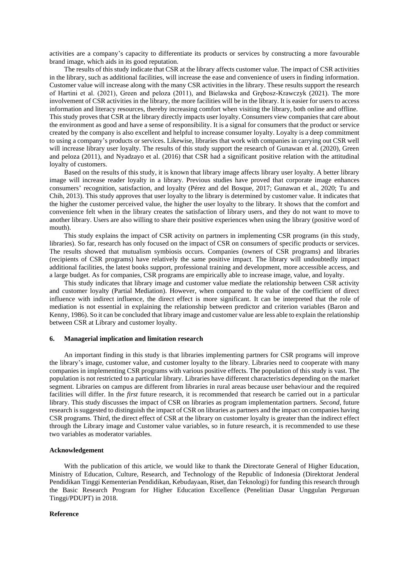activities are a company's capacity to differentiate its products or services by constructing a more favourable brand image, which aids in its good reputation.

The results of this study indicate that CSR at the library affects customer value. The impact of CSR activities in the library, such as additional facilities, will increase the ease and convenience of users in finding information. Customer value will increase along with the many CSR activities in the library. These results support the research of Hartini et al. (2021), Green and peloza (2011), and Bielawska and Grębosz-Krawczyk (2021). The more involvement of CSR activities in the library, the more facilities will be in the library. It is easier for users to access information and literacy resources, thereby increasing comfort when visiting the library, both online and offline. This study proves that CSR at the library directly impacts user loyalty. Consumers view companies that care about the environment as good and have a sense of responsibility. It is a signal for consumers that the product or service created by the company is also excellent and helpful to increase consumer loyalty. Loyalty is a deep commitment to using a company's products or services. Likewise, libraries that work with companies in carrying out CSR well will increase library user loyalty. The results of this study support the research of Gunawan et al. (2020), Green and peloza (2011), and Nyadzayo et al. (2016) that CSR had a significant positive relation with the attitudinal loyalty of customers.

Based on the results of this study, it is known that library image affects library user loyalty. A better library image will increase reader loyalty in a library. Previous studies have proved that corporate image enhances consumers' recognition, satisfaction, and loyalty (Pérez and del Bosque, 2017; Gunawan et al., 2020; Tu and Chih, 2013). This study approves that user loyalty to the library is determined by customer value. It indicates that the higher the customer perceived value, the higher the user loyalty to the library. It shows that the comfort and convenience felt when in the library creates the satisfaction of library users, and they do not want to move to another library. Users are also willing to share their positive experiences when using the library (positive word of mouth).

This study explains the impact of CSR activity on partners in implementing CSR programs (in this study, libraries). So far, research has only focused on the impact of CSR on consumers of specific products or services. The results showed that mutualism symbiosis occurs. Companies (owners of CSR programs) and libraries (recipients of CSR programs) have relatively the same positive impact. The library will undoubtedly impact additional facilities, the latest books support, professional training and development, more accessible access, and a large budget. As for companies, CSR programs are empirically able to increase image, value, and loyalty.

This study indicates that library image and customer value mediate the relationship between CSR activity and customer loyalty (Partial Mediation). However, when compared to the value of the coefficient of direct influence with indirect influence, the direct effect is more significant. It can be interpreted that the role of mediation is not essential in explaining the relationship between predictor and criterion variables (Baron and Kenny, 1986). So it can be concluded that library image and customer value are less able to explain the relationship between CSR at Library and customer loyalty.

#### **6. Managerial implication and limitation research**

An important finding in this study is that libraries implementing partners for CSR programs will improve the library's image, customer value, and customer loyalty to the library. Libraries need to cooperate with many companies in implementing CSR programs with various positive effects. The population of this study is vast. The population is not restricted to a particular library. Libraries have different characteristics depending on the market segment. Libraries on campus are different from libraries in rural areas because user behaviour and the required facilities will differ. In the *first* future research, it is recommended that research be carried out in a particular library. This study discusses the impact of CSR on libraries as program implementation partners. *Second*, future research is suggested to distinguish the impact of CSR on libraries as partners and the impact on companies having CSR programs. Third, the direct effect of CSR at the library on customer loyalty is greater than the indirect effect through the Library image and Customer value variables, so in future research, it is recommended to use these two variables as moderator variables.

## **Acknowledgement**

With the publication of this article, we would like to thank the Directorate General of Higher Education, Ministry of Education, Culture, Research, and Technology of the Republic of Indonesia (Direktorat Jenderal Pendidikan Tinggi Kementerian Pendidikan, Kebudayaan, Riset, dan Teknologi) for funding this research through the Basic Research Program for Higher Education Excellence (Penelitian Dasar Unggulan Perguruan Tinggi/PDUPT) in 2018.

#### **Reference**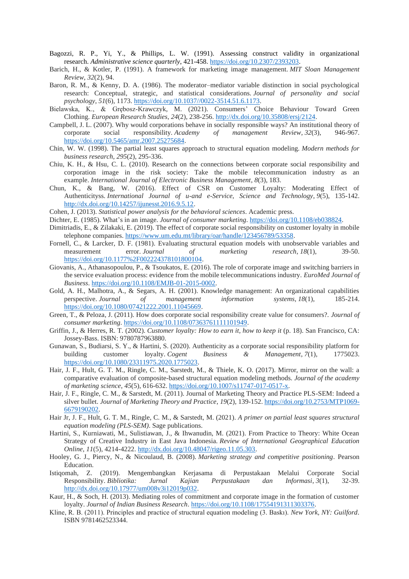Bagozzi, R. P., Yi, Y., & Phillips, L. W. (1991). Assessing construct validity in organizational research. *Administrative science quarterly*, 421-458. [https://doi.org/10.2307/2393203.](https://doi.org/10.2307/2393203)

- Barich, H., & Kotler, P. (1991). A framework for marketing image management. *MIT Sloan Management Review*, *32*(2), 94.
- Baron, R. M., & Kenny, D. A. (1986). The moderator–mediator variable distinction in social psychological research: Conceptual, strategic, and statistical considerations. *Journal of personality and social psychology*, *51*(6), 1173. [https://doi.org/10.1037//0022-3514.51.6.1173.](https://doi.org/10.1037/0022-3514.51.6.1173)
- Bielawska, K., & Grębosz-Krawczyk, M. (2021). Consumers' Choice Behaviour Toward Green Clothing. *European Research Studies*, *24*(2), 238-256. [http://dx.doi.org/10.35808/ersj/2124.](http://dx.doi.org/10.35808/ersj/2124)
- Campbell, J. L. (2007). Why would corporations behave in socially responsible ways? An institutional theory of corporate social responsibility. *Academy of management Review*, *32*(3), 946-967. [https://doi.org/10.5465/amr.2007.25275684.](https://doi.org/10.5465/amr.2007.25275684)
- Chin, W. W. (1998). The partial least squares approach to structural equation modeling. *Modern methods for business research*, *295*(2), 295-336.
- Chiu, K. H., & Hsu, C. L. (2010). Research on the connections between corporate social responsibility and corporation image in the risk society: Take the mobile telecommunication industry as an example. *International Journal of Electronic Business Management*, *8*(3), 183.
- Chun, K., & Bang, W. (2016). Effect of CSR on Customer Loyalty: Moderating Effect of Authenticityss. *International Journal of u-and e-Service, Science and Technology*, *9*(5), 135-142. [http://dx.doi.org/10.14257/ijunesst.2016.9.5.12.](http://dx.doi.org/10.14257/ijunesst.2016.9.5.12)
- Cohen, J. (2013). *Statistical power analysis for the behavioral sciences*. Academic press.
- Dichter, E. (1985). What's in an image. *Journal of consumer marketing*. [https://doi.org/10.1108/eb038824.](https://doi.org/10.1108/eb038824)
- Dimitriadis, E., & Zilakaki, E. (2019). The effect of corporate social responsibility on customer loyalty in mobile telephone companies. [https://www.um.edu.mt/library/oar/handle/123456789/53358.](https://www.um.edu.mt/library/oar/handle/123456789/53358)
- Fornell, C., & Larcker, D. F. (1981). Evaluating structural equation models with unobservable variables and measurement error. *Journal of marketing research*, 18(1), 39-50. [https://doi.org/10.1177%2F002224378101800104.](https://doi.org/10.1177%2F002224378101800104)
- Giovanis, A., Athanasopoulou, P., & Tsoukatos, E. (2016). The role of corporate image and switching barriers in the service evaluation process: evidence from the mobile telecommunications industry. *EuroMed Journal of Business*. [https://doi.org/10.1108/EMJB-01-2015-0002.](https://doi.org/10.1108/EMJB-01-2015-0002)
- Gold, A. H., Malhotra, A., & Segars, A. H. (2001). Knowledge management: An organizational capabilities perspective. *Journal of management information systems*, *18*(1), 185-214. [https://doi.org/10.1080/07421222.2001.11045669.](https://doi.org/10.1080/07421222.2001.11045669)
- Green, T., & Peloza, J. (2011). How does corporate social responsibility create value for consumers?. *Journal of consumer marketing*. [https://doi.org/10.1108/07363761111101949.](https://doi.org/10.1108/07363761111101949)
- Griffin, J., & Herres, R. T. (2002). *Customer loyalty: How to earn it, how to keep it* (p. 18). San Francisco, CA: Jossey-Bass. ISBN: 9780787963880.
- Gunawan, S., Budiarsi, S. Y., & Hartini, S. (2020). Authenticity as a corporate social responsibility platform for building customer loyalty. *Cogent Business & Management*, *7*(1), 1775023. [https://doi.org/10.1080/23311975.2020.1775023.](https://doi.org/10.1080/23311975.2020.1775023)
- Hair, J. F., Hult, G. T. M., Ringle, C. M., Sarstedt, M., & Thiele, K. O. (2017). Mirror, mirror on the wall: a comparative evaluation of composite-based structural equation modeling methods. *Journal of the academy of marketing science*, *45*(5), 616-632. [https://doi.org/10.1007/s11747-017-0517-x.](https://doi.org/10.1007/s11747-017-0517-x)
- Hair, J. F., Ringle, C. M., & Sarstedt, M. (2011). Journal of Marketing Theory and Practice PLS-SEM: Indeed a silver bullet. *Journal of Marketing Theory and Practice*, *19*(2), 139-152. [https://doi.org/10.2753/MTP1069-](https://doi.org/10.2753/MTP1069-6679190202) [6679190202.](https://doi.org/10.2753/MTP1069-6679190202)
- Hair Jr, J. F., Hult, G. T. M., Ringle, C. M., & Sarstedt, M. (2021). *A primer on partial least squares structural equation modeling (PLS-SEM)*. Sage publications.
- Hartini, S., Kurniawati, M., Sulistiawan, J., & Ihwanudin, M. (2021). From Practice to Theory: White Ocean Strategy of Creative Industry in East Java Indonesia. *Review of International Geographical Education Online*, *11*(5), 4214-4222. [http://dx.doi.org/10.48047/rigeo.11.05.303.](http://dx.doi.org/10.48047/rigeo.11.05.303)
- Hooley, G. J., Piercy, N., & Nicoulaud, B. (2008). *Marketing strategy and competitive positioning*. Pearson Education.
- Istiqomah, Z. (2019). Mengembangkan Kerjasama di Perpustakaan Melalui Corporate Social Responsibility. *Bibliotika: Jurnal Kajian Perpustakaan dan Informasi*, *3*(1), 32-39. [http://dx.doi.org/10.17977/um008v3i12019p032.](http://dx.doi.org/10.17977/um008v3i12019p032)
- Kaur, H., & Soch, H. (2013). Mediating roles of commitment and corporate image in the formation of customer loyalty. *Journal of Indian Business Research*. [https://doi.org/10.1108/17554191311303376.](https://doi.org/10.1108/17554191311303376)
- Kline, R. B. (2011). Principles and practice of structural equation modeling (3. Baskı). *New York, NY: Guilford*. ISBN 9781462523344.